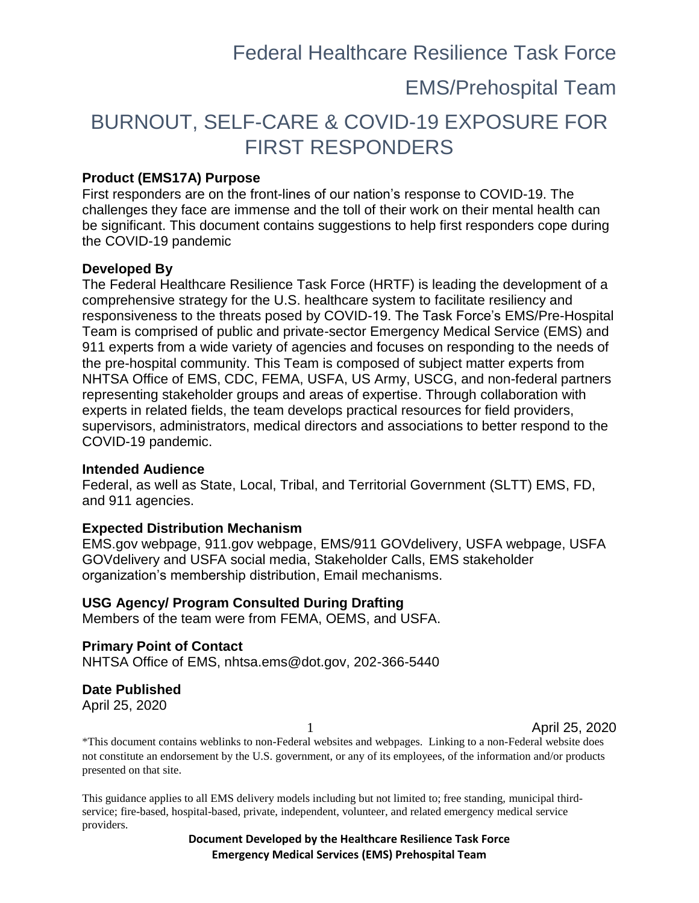### EMS/Prehospital Team

## BURNOUT, SELF-CARE & COVID-19 EXPOSURE FOR FIRST RESPONDERS

#### **Product (EMS17A) Purpose**

First responders are on the front-lines of our nation's response to COVID-19. The challenges they face are immense and the toll of their work on their mental health can be significant. This document contains suggestions to help first responders cope during the COVID-19 pandemic

#### **Developed By**

The Federal Healthcare Resilience Task Force (HRTF) is leading the development of a comprehensive strategy for the U.S. healthcare system to facilitate resiliency and responsiveness to the threats posed by COVID-19. The Task Force's EMS/Pre-Hospital Team is comprised of public and private-sector Emergency Medical Service (EMS) and 911 experts from a wide variety of agencies and focuses on responding to the needs of the pre-hospital community. This Team is composed of subject matter experts from NHTSA Office of EMS, CDC, FEMA, USFA, US Army, USCG, and non-federal partners representing stakeholder groups and areas of expertise. Through collaboration with experts in related fields, the team develops practical resources for field providers, supervisors, administrators, medical directors and associations to better respond to the COVID-19 pandemic.

#### **Intended Audience**

Federal, as well as State, Local, Tribal, and Territorial Government (SLTT) EMS, FD, and 911 agencies.

#### **Expected Distribution Mechanism**

EMS.gov webpage, 911.gov webpage, EMS/911 GOVdelivery, USFA webpage, USFA GOVdelivery and USFA social media, Stakeholder Calls, EMS stakeholder organization's membership distribution, Email mechanisms.

**USG Agency/ Program Consulted During Drafting**

Members of the team were from FEMA, OEMS, and USFA.

**Primary Point of Contact** NHTSA Office of EMS, nhtsa.ems@dot.gov, 202-366-5440

#### **Date Published**

April 25, 2020

1 April 25, 2020

\*This document contains weblinks to non-Federal websites and webpages. Linking to a non-Federal website does not constitute an endorsement by the U.S. government, or any of its employees, of the information and/or products presented on that site.

This guidance applies to all EMS delivery models including but not limited to; free standing, municipal thirdservice; fire-based, hospital-based, private, independent, volunteer, and related emergency medical service providers.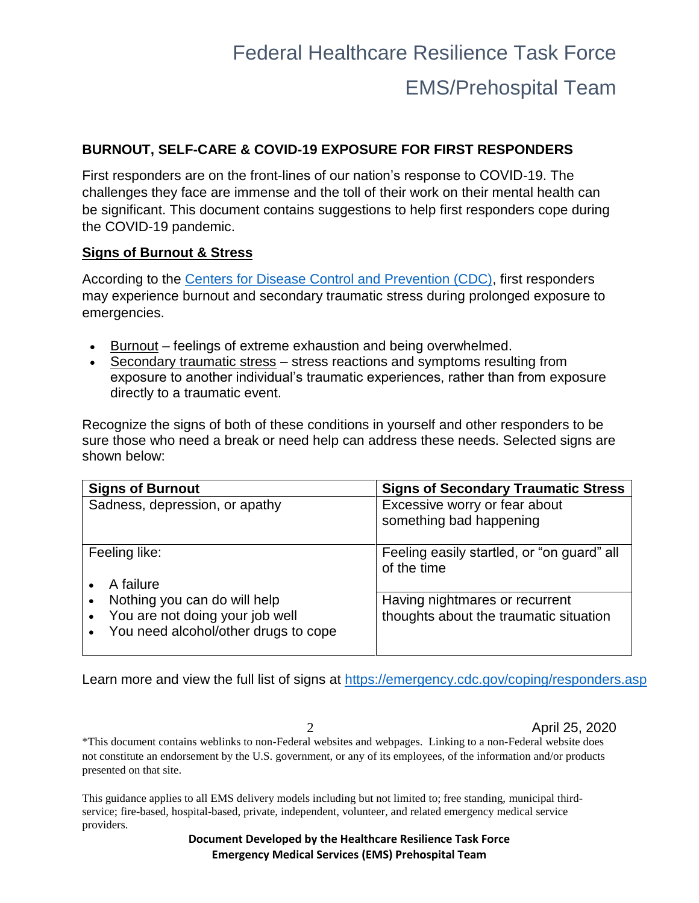# Federal Healthcare Resilience Task Force EMS/Prehospital Team

#### **BURNOUT, SELF-CARE & COVID-19 EXPOSURE FOR FIRST RESPONDERS**

First responders are on the front-lines of our nation's response to COVID-19. The challenges they face are immense and the toll of their work on their mental health can be significant. This document contains suggestions to help first responders cope during the COVID-19 pandemic.

#### **Signs of Burnout & Stress**

According to the [Centers for Disease Control and Prevention \(CDC\),](https://emergency.cdc.gov/coping/responders.asp) first responders may experience burnout and secondary traumatic stress during prolonged exposure to emergencies.

- Burnout feelings of extreme exhaustion and being overwhelmed.
- Secondary traumatic stress stress reactions and symptoms resulting from exposure to another individual's traumatic experiences, rather than from exposure directly to a traumatic event.

Recognize the signs of both of these conditions in yourself and other responders to be sure those who need a break or need help can address these needs. Selected signs are shown below:

| <b>Signs of Burnout</b>              | <b>Signs of Secondary Traumatic Stress</b>                |
|--------------------------------------|-----------------------------------------------------------|
| Sadness, depression, or apathy       | Excessive worry or fear about<br>something bad happening  |
| Feeling like:<br>A failure           | Feeling easily startled, or "on guard" all<br>of the time |
| Nothing you can do will help         | Having nightmares or recurrent                            |
| You are not doing your job well      | thoughts about the traumatic situation                    |
| You need alcohol/other drugs to cope |                                                           |

Learn more and view the full list of signs at <https://emergency.cdc.gov/coping/responders.asp>

2 April 25, 2020

\*This document contains weblinks to non-Federal websites and webpages. Linking to a non-Federal website does not constitute an endorsement by the U.S. government, or any of its employees, of the information and/or products presented on that site.

This guidance applies to all EMS delivery models including but not limited to; free standing, municipal thirdservice; fire-based, hospital-based, private, independent, volunteer, and related emergency medical service providers.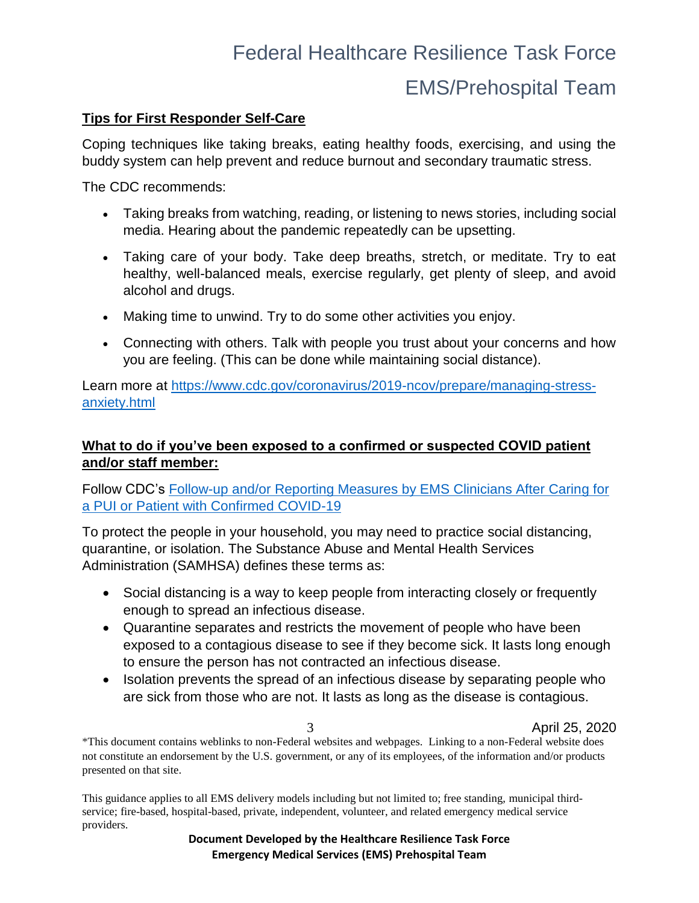# Federal Healthcare Resilience Task Force EMS/Prehospital Team

#### **Tips for First Responder Self-Care**

Coping techniques like taking breaks, eating healthy foods, exercising, and using the buddy system can help prevent and reduce burnout and secondary traumatic stress.

The CDC recommends:

- Taking breaks from watching, reading, or listening to news stories, including social media. Hearing about the pandemic repeatedly can be upsetting.
- Taking care of your body. Take deep breaths, stretch, or meditate. Try to eat healthy, well-balanced meals, exercise regularly, get plenty of sleep, and avoid alcohol and drugs.
- Making time to unwind. Try to do some other activities you enjoy.
- Connecting with others. Talk with people you trust about your concerns and how you are feeling. (This can be done while maintaining social distance).

Learn more at [https://www.cdc.gov/coronavirus/2019-ncov/prepare/managing-stress](https://www.cdc.gov/coronavirus/2019-ncov/prepare/managing-stress-anxiety.html)[anxiety.html](https://www.cdc.gov/coronavirus/2019-ncov/prepare/managing-stress-anxiety.html) 

#### **What to do if you've been exposed to a confirmed or suspected COVID patient and/or staff member:**

#### Follow CDC's [Follow-up and/or Reporting Measures by EMS Clinicians After Caring for](https://www.cdc.gov/coronavirus/2019-ncov/hcp/guidance-risk-assesment-hcp.html)  [a PUI or Patient with Confirmed COVID-19](https://www.cdc.gov/coronavirus/2019-ncov/hcp/guidance-risk-assesment-hcp.html)

To protect the people in your household, you may need to practice social distancing, quarantine, or isolation. The Substance Abuse and Mental Health Services Administration (SAMHSA) defines these terms as:

- Social distancing is a way to keep people from interacting closely or frequently enough to spread an infectious disease.
- Quarantine separates and restricts the movement of people who have been exposed to a contagious disease to see if they become sick. It lasts long enough to ensure the person has not contracted an infectious disease.
- Isolation prevents the spread of an infectious disease by separating people who are sick from those who are not. It lasts as long as the disease is contagious.

3 April 25, 2020

\*This document contains weblinks to non-Federal websites and webpages. Linking to a non-Federal website does not constitute an endorsement by the U.S. government, or any of its employees, of the information and/or products presented on that site.

This guidance applies to all EMS delivery models including but not limited to; free standing, municipal thirdservice; fire-based, hospital-based, private, independent, volunteer, and related emergency medical service providers.